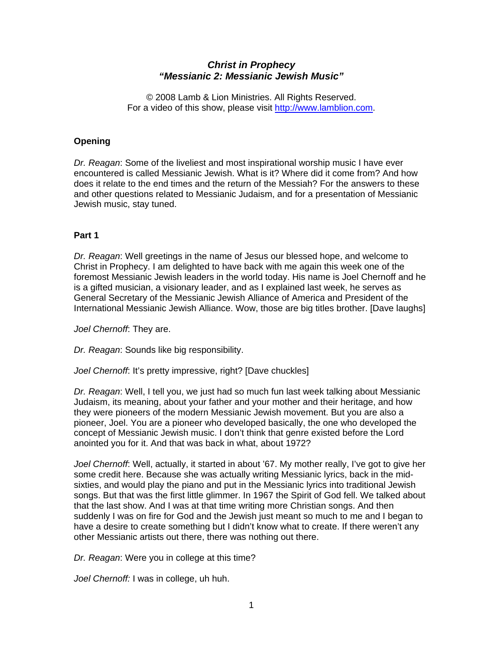# *Christ in Prophecy "Messianic 2: Messianic Jewish Music"*

© 2008 Lamb & Lion Ministries. All Rights Reserved. For a video of this show, please visit [http://www.lamblion.com.](http://www.lamblion.com/)

### **Opening**

*Dr. Reagan*: Some of the liveliest and most inspirational worship music I have ever encountered is called Messianic Jewish. What is it? Where did it come from? And how does it relate to the end times and the return of the Messiah? For the answers to these and other questions related to Messianic Judaism, and for a presentation of Messianic Jewish music, stay tuned.

## **Part 1**

*Dr. Reagan*: Well greetings in the name of Jesus our blessed hope, and welcome to Christ in Prophecy. I am delighted to have back with me again this week one of the foremost Messianic Jewish leaders in the world today. His name is Joel Chernoff and he is a gifted musician, a visionary leader, and as I explained last week, he serves as General Secretary of the Messianic Jewish Alliance of America and President of the International Messianic Jewish Alliance. Wow, those are big titles brother. [Dave laughs]

*Joel Chernoff*: They are.

*Dr. Reagan*: Sounds like big responsibility.

*Joel Chernoff*: It's pretty impressive, right? [Dave chuckles]

*Dr. Reagan*: Well, I tell you, we just had so much fun last week talking about Messianic Judaism, its meaning, about your father and your mother and their heritage, and how they were pioneers of the modern Messianic Jewish movement. But you are also a pioneer, Joel. You are a pioneer who developed basically, the one who developed the concept of Messianic Jewish music. I don't think that genre existed before the Lord anointed you for it. And that was back in what, about 1972?

*Joel Chernoff*: Well, actually, it started in about '67. My mother really, I've got to give her some credit here. Because she was actually writing Messianic lyrics, back in the midsixties, and would play the piano and put in the Messianic lyrics into traditional Jewish songs. But that was the first little glimmer. In 1967 the Spirit of God fell. We talked about that the last show. And I was at that time writing more Christian songs. And then suddenly I was on fire for God and the Jewish just meant so much to me and I began to have a desire to create something but I didn't know what to create. If there weren't any other Messianic artists out there, there was nothing out there.

*Dr. Reagan*: Were you in college at this time?

*Joel Chernoff:* I was in college, uh huh.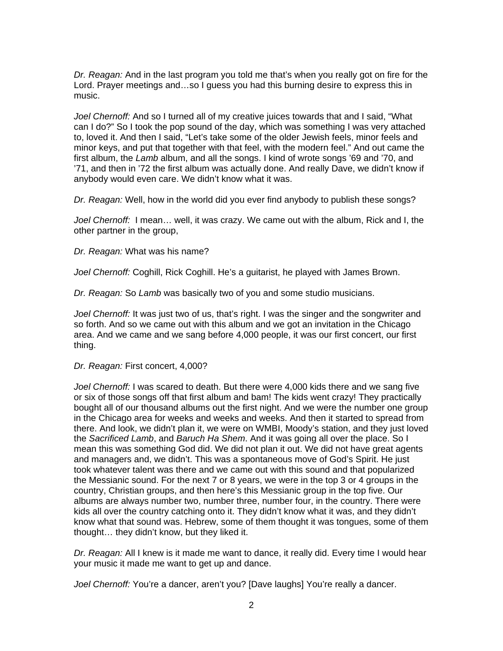*Dr. Reagan:* And in the last program you told me that's when you really got on fire for the Lord. Prayer meetings and…so I guess you had this burning desire to express this in music.

*Joel Chernoff:* And so I turned all of my creative juices towards that and I said, "What can I do?" So I took the pop sound of the day, which was something I was very attached to, loved it. And then I said, "Let's take some of the older Jewish feels, minor feels and minor keys, and put that together with that feel, with the modern feel." And out came the first album, the *Lamb* album, and all the songs. I kind of wrote songs '69 and '70, and '71, and then in '72 the first album was actually done. And really Dave, we didn't know if anybody would even care. We didn't know what it was.

*Dr. Reagan:* Well, how in the world did you ever find anybody to publish these songs?

*Joel Chernoff:* I mean… well, it was crazy. We came out with the album, Rick and I, the other partner in the group,

*Dr. Reagan:* What was his name?

*Joel Chernoff:* Coghill, Rick Coghill. He's a guitarist, he played with James Brown.

*Dr. Reagan:* So *Lamb* was basically two of you and some studio musicians.

*Joel Chernoff:* It was just two of us, that's right. I was the singer and the songwriter and so forth. And so we came out with this album and we got an invitation in the Chicago area. And we came and we sang before 4,000 people, it was our first concert, our first thing.

*Dr. Reagan:* First concert, 4,000?

*Joel Chernoff:* I was scared to death. But there were 4,000 kids there and we sang five or six of those songs off that first album and bam! The kids went crazy! They practically bought all of our thousand albums out the first night. And we were the number one group in the Chicago area for weeks and weeks and weeks. And then it started to spread from there. And look, we didn't plan it, we were on WMBI, Moody's station, and they just loved the *Sacrificed Lamb*, and *Baruch Ha Shem*. And it was going all over the place. So I mean this was something God did. We did not plan it out. We did not have great agents and managers and, we didn't. This was a spontaneous move of God's Spirit. He just took whatever talent was there and we came out with this sound and that popularized the Messianic sound. For the next 7 or 8 years, we were in the top 3 or 4 groups in the country, Christian groups, and then here's this Messianic group in the top five. Our albums are always number two, number three, number four, in the country. There were kids all over the country catching onto it. They didn't know what it was, and they didn't know what that sound was. Hebrew, some of them thought it was tongues, some of them thought… they didn't know, but they liked it.

*Dr. Reagan:* All I knew is it made me want to dance, it really did. Every time I would hear your music it made me want to get up and dance.

*Joel Chernoff:* You're a dancer, aren't you? [Dave laughs] You're really a dancer.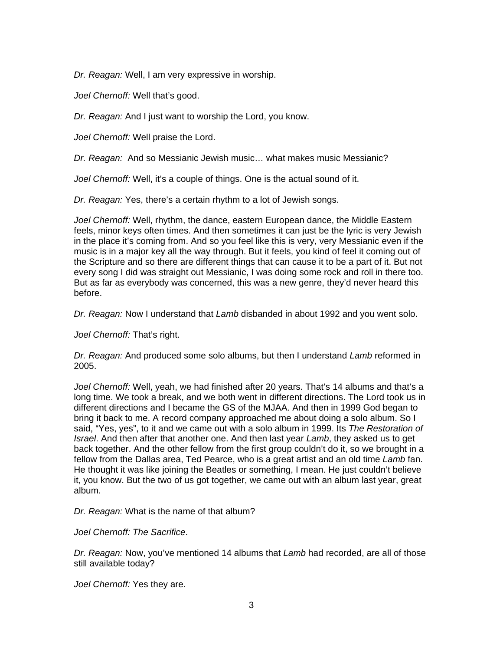*Dr. Reagan:* Well, I am very expressive in worship.

*Joel Chernoff:* Well that's good.

*Dr. Reagan:* And I just want to worship the Lord, you know.

*Joel Chernoff:* Well praise the Lord.

*Dr. Reagan:* And so Messianic Jewish music… what makes music Messianic?

*Joel Chernoff:* Well, it's a couple of things. One is the actual sound of it.

*Dr. Reagan:* Yes, there's a certain rhythm to a lot of Jewish songs.

*Joel Chernoff:* Well, rhythm, the dance, eastern European dance, the Middle Eastern feels, minor keys often times. And then sometimes it can just be the lyric is very Jewish in the place it's coming from. And so you feel like this is very, very Messianic even if the music is in a major key all the way through. But it feels, you kind of feel it coming out of the Scripture and so there are different things that can cause it to be a part of it. But not every song I did was straight out Messianic, I was doing some rock and roll in there too. But as far as everybody was concerned, this was a new genre, they'd never heard this before.

*Dr. Reagan:* Now I understand that *Lamb* disbanded in about 1992 and you went solo.

*Joel Chernoff:* That's right.

*Dr. Reagan:* And produced some solo albums, but then I understand *Lamb* reformed in 2005.

*Joel Chernoff:* Well, yeah, we had finished after 20 years. That's 14 albums and that's a long time. We took a break, and we both went in different directions. The Lord took us in different directions and I became the GS of the MJAA. And then in 1999 God began to bring it back to me. A record company approached me about doing a solo album. So I said, "Yes, yes", to it and we came out with a solo album in 1999. Its *The Restoration of Israel*. And then after that another one. And then last year *Lamb*, they asked us to get back together. And the other fellow from the first group couldn't do it, so we brought in a fellow from the Dallas area, Ted Pearce, who is a great artist and an old time *Lamb* fan. He thought it was like joining the Beatles or something, I mean. He just couldn't believe it, you know. But the two of us got together, we came out with an album last year, great album.

*Dr. Reagan:* What is the name of that album?

*Joel Chernoff: The Sacrifice*.

*Dr. Reagan:* Now, you've mentioned 14 albums that *Lamb* had recorded, are all of those still available today?

*Joel Chernoff:* Yes they are.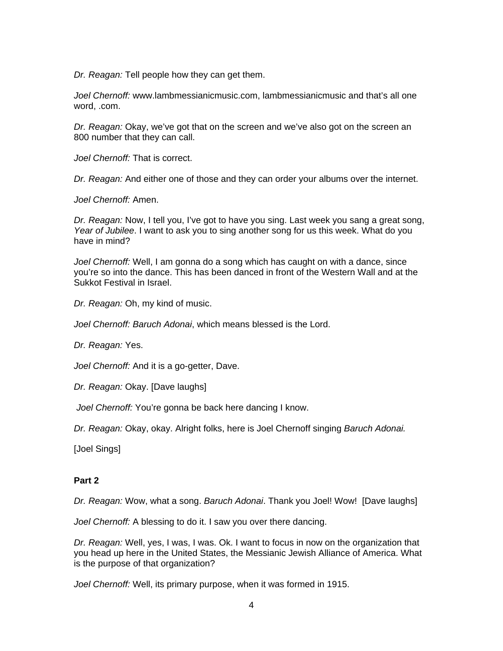*Dr. Reagan:* Tell people how they can get them.

*Joel Chernoff:* www.lambmessianicmusic.com, lambmessianicmusic and that's all one word, .com.

*Dr. Reagan:* Okay, we've got that on the screen and we've also got on the screen an 800 number that they can call.

*Joel Chernoff:* That is correct.

*Dr. Reagan:* And either one of those and they can order your albums over the internet.

*Joel Chernoff:* Amen.

*Dr. Reagan:* Now, I tell you, I've got to have you sing. Last week you sang a great song, *Year of Jubilee*. I want to ask you to sing another song for us this week. What do you have in mind?

*Joel Chernoff:* Well, I am gonna do a song which has caught on with a dance, since you're so into the dance. This has been danced in front of the Western Wall and at the Sukkot Festival in Israel.

*Dr. Reagan:* Oh, my kind of music.

*Joel Chernoff: Baruch Adonai*, which means blessed is the Lord.

*Dr. Reagan:* Yes.

*Joel Chernoff:* And it is a go-getter, Dave.

*Dr. Reagan:* Okay. [Dave laughs]

*Joel Chernoff:* You're gonna be back here dancing I know.

*Dr. Reagan:* Okay, okay. Alright folks, here is Joel Chernoff singing *Baruch Adonai.*

[Joel Sings]

#### **Part 2**

*Dr. Reagan:* Wow, what a song. *Baruch Adonai*. Thank you Joel! Wow! [Dave laughs]

*Joel Chernoff:* A blessing to do it. I saw you over there dancing.

*Dr. Reagan:* Well, yes, I was, I was. Ok. I want to focus in now on the organization that you head up here in the United States, the Messianic Jewish Alliance of America. What is the purpose of that organization?

*Joel Chernoff:* Well, its primary purpose, when it was formed in 1915.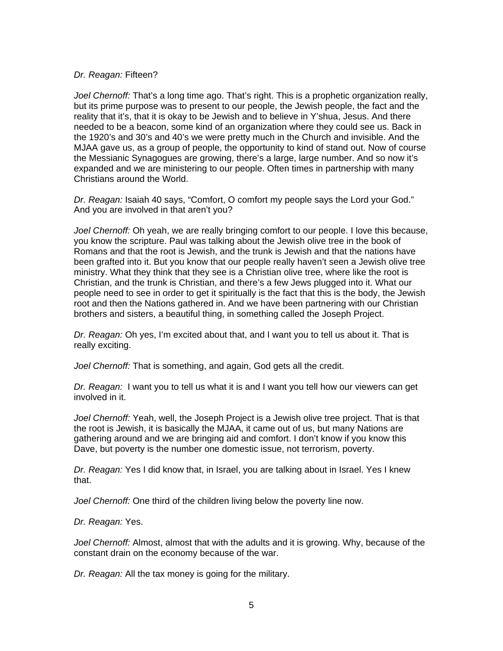#### *Dr. Reagan:* Fifteen?

*Joel Chernoff:* That's a long time ago. That's right. This is a prophetic organization really, but its prime purpose was to present to our people, the Jewish people, the fact and the reality that it's, that it is okay to be Jewish and to believe in Y'shua, Jesus. And there needed to be a beacon, some kind of an organization where they could see us. Back in the 1920's and 30's and 40's we were pretty much in the Church and invisible. And the MJAA gave us, as a group of people, the opportunity to kind of stand out. Now of course the Messianic Synagogues are growing, there's a large, large number. And so now it's expanded and we are ministering to our people. Often times in partnership with many Christians around the World.

*Dr. Reagan:* Isaiah 40 says, "Comfort, O comfort my people says the Lord your God." And you are involved in that aren't you?

*Joel Chernoff:* Oh yeah, we are really bringing comfort to our people. I love this because, you know the scripture. Paul was talking about the Jewish olive tree in the book of Romans and that the root is Jewish, and the trunk is Jewish and that the nations have been grafted into it. But you know that our people really haven't seen a Jewish olive tree ministry. What they think that they see is a Christian olive tree, where like the root is Christian, and the trunk is Christian, and there's a few Jews plugged into it. What our people need to see in order to get it spiritually is the fact that this is the body, the Jewish root and then the Nations gathered in. And we have been partnering with our Christian brothers and sisters, a beautiful thing, in something called the Joseph Project.

*Dr. Reagan:* Oh yes, I'm excited about that, and I want you to tell us about it. That is really exciting.

*Joel Chernoff:* That is something, and again, God gets all the credit.

*Dr. Reagan:* I want you to tell us what it is and I want you tell how our viewers can get involved in it.

*Joel Chernoff:* Yeah, well, the Joseph Project is a Jewish olive tree project. That is that the root is Jewish, it is basically the MJAA, it came out of us, but many Nations are gathering around and we are bringing aid and comfort. I don't know if you know this Dave, but poverty is the number one domestic issue, not terrorism, poverty.

*Dr. Reagan:* Yes I did know that, in Israel, you are talking about in Israel. Yes I knew that.

*Joel Chernoff:* One third of the children living below the poverty line now.

*Dr. Reagan:* Yes.

*Joel Chernoff:* Almost, almost that with the adults and it is growing. Why, because of the constant drain on the economy because of the war.

*Dr. Reagan:* All the tax money is going for the military.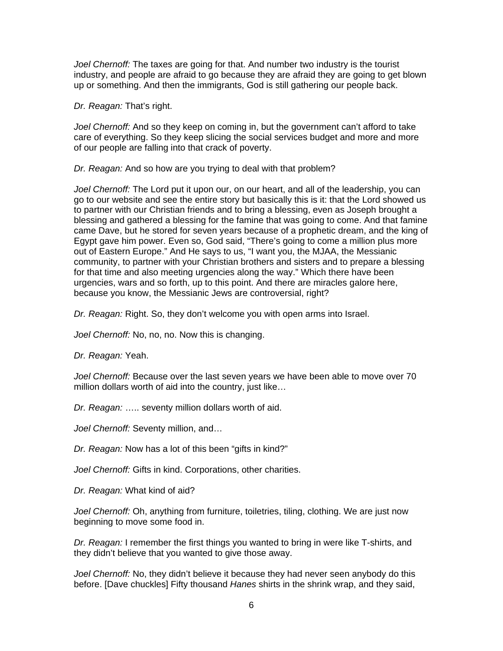*Joel Chernoff:* The taxes are going for that. And number two industry is the tourist industry, and people are afraid to go because they are afraid they are going to get blown up or something. And then the immigrants, God is still gathering our people back.

*Dr. Reagan:* That's right.

*Joel Chernoff:* And so they keep on coming in, but the government can't afford to take care of everything. So they keep slicing the social services budget and more and more of our people are falling into that crack of poverty.

*Dr. Reagan:* And so how are you trying to deal with that problem?

*Joel Chernoff:* The Lord put it upon our, on our heart, and all of the leadership, you can go to our website and see the entire story but basically this is it: that the Lord showed us to partner with our Christian friends and to bring a blessing, even as Joseph brought a blessing and gathered a blessing for the famine that was going to come. And that famine came Dave, but he stored for seven years because of a prophetic dream, and the king of Egypt gave him power. Even so, God said, "There's going to come a million plus more out of Eastern Europe." And He says to us, "I want you, the MJAA, the Messianic community, to partner with your Christian brothers and sisters and to prepare a blessing for that time and also meeting urgencies along the way." Which there have been urgencies, wars and so forth, up to this point. And there are miracles galore here, because you know, the Messianic Jews are controversial, right?

*Dr. Reagan:* Right. So, they don't welcome you with open arms into Israel.

*Joel Chernoff:* No, no, no. Now this is changing.

*Dr. Reagan:* Yeah.

*Joel Chernoff:* Because over the last seven years we have been able to move over 70 million dollars worth of aid into the country, just like…

*Dr. Reagan:* ….. seventy million dollars worth of aid.

*Joel Chernoff:* Seventy million, and…

*Dr. Reagan:* Now has a lot of this been "gifts in kind?"

*Joel Chernoff:* Gifts in kind. Corporations, other charities.

*Dr. Reagan:* What kind of aid?

*Joel Chernoff:* Oh, anything from furniture, toiletries, tiling, clothing. We are just now beginning to move some food in.

*Dr. Reagan:* I remember the first things you wanted to bring in were like T-shirts, and they didn't believe that you wanted to give those away.

*Joel Chernoff:* No, they didn't believe it because they had never seen anybody do this before. [Dave chuckles] Fifty thousand *Hanes* shirts in the shrink wrap, and they said,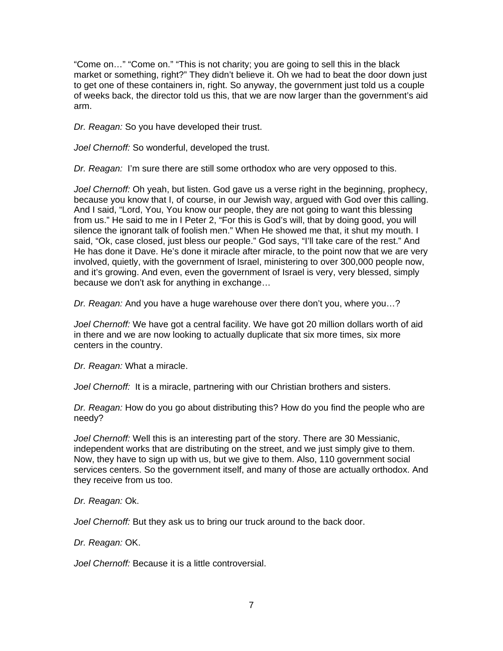"Come on…" "Come on." "This is not charity; you are going to sell this in the black market or something, right?" They didn't believe it. Oh we had to beat the door down just to get one of these containers in, right. So anyway, the government just told us a couple of weeks back, the director told us this, that we are now larger than the government's aid arm.

*Dr. Reagan:* So you have developed their trust.

*Joel Chernoff:* So wonderful, developed the trust.

*Dr. Reagan:* I'm sure there are still some orthodox who are very opposed to this.

*Joel Chernoff:* Oh yeah, but listen. God gave us a verse right in the beginning, prophecy, because you know that I, of course, in our Jewish way, argued with God over this calling. And I said, "Lord, You, You know our people, they are not going to want this blessing from us." He said to me in I Peter 2, "For this is God's will, that by doing good, you will silence the ignorant talk of foolish men." When He showed me that, it shut my mouth. I said, "Ok, case closed, just bless our people." God says, "I'll take care of the rest." And He has done it Dave. He's done it miracle after miracle, to the point now that we are very involved, quietly, with the government of Israel, ministering to over 300,000 people now, and it's growing. And even, even the government of Israel is very, very blessed, simply because we don't ask for anything in exchange…

*Dr. Reagan:* And you have a huge warehouse over there don't you, where you…?

*Joel Chernoff:* We have got a central facility. We have got 20 million dollars worth of aid in there and we are now looking to actually duplicate that six more times, six more centers in the country.

*Dr. Reagan:* What a miracle.

*Joel Chernoff:* It is a miracle, partnering with our Christian brothers and sisters.

*Dr. Reagan:* How do you go about distributing this? How do you find the people who are needy?

*Joel Chernoff:* Well this is an interesting part of the story. There are 30 Messianic, independent works that are distributing on the street, and we just simply give to them. Now, they have to sign up with us, but we give to them. Also, 110 government social services centers. So the government itself, and many of those are actually orthodox. And they receive from us too.

*Dr. Reagan:* Ok.

*Joel Chernoff:* But they ask us to bring our truck around to the back door.

*Dr. Reagan:* OK.

*Joel Chernoff:* Because it is a little controversial.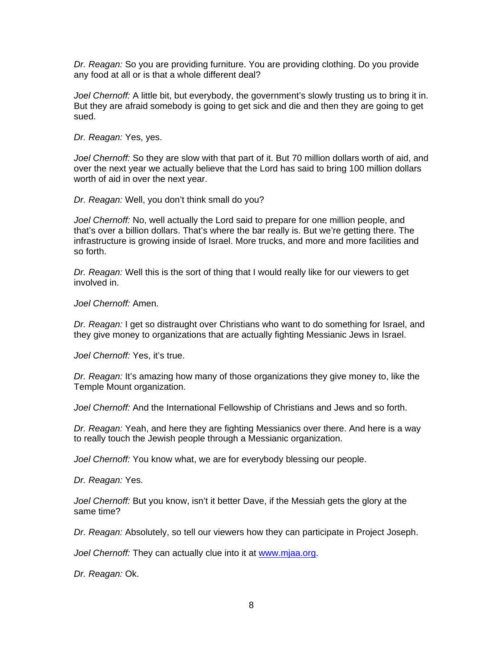*Dr. Reagan:* So you are providing furniture. You are providing clothing. Do you provide any food at all or is that a whole different deal?

*Joel Chernoff:* A little bit, but everybody, the government's slowly trusting us to bring it in. But they are afraid somebody is going to get sick and die and then they are going to get sued.

*Dr. Reagan:* Yes, yes.

*Joel Chernoff:* So they are slow with that part of it. But 70 million dollars worth of aid, and over the next year we actually believe that the Lord has said to bring 100 million dollars worth of aid in over the next year.

*Dr. Reagan:* Well, you don't think small do you?

*Joel Chernoff:* No, well actually the Lord said to prepare for one million people, and that's over a billion dollars. That's where the bar really is. But we're getting there. The infrastructure is growing inside of Israel. More trucks, and more and more facilities and so forth.

*Dr. Reagan:* Well this is the sort of thing that I would really like for our viewers to get involved in.

*Joel Chernoff:* Amen.

*Dr. Reagan:* I get so distraught over Christians who want to do something for Israel, and they give money to organizations that are actually fighting Messianic Jews in Israel.

*Joel Chernoff:* Yes, it's true.

*Dr. Reagan:* It's amazing how many of those organizations they give money to, like the Temple Mount organization.

*Joel Chernoff:* And the International Fellowship of Christians and Jews and so forth.

*Dr. Reagan:* Yeah, and here they are fighting Messianics over there. And here is a way to really touch the Jewish people through a Messianic organization.

*Joel Chernoff:* You know what, we are for everybody blessing our people.

*Dr. Reagan:* Yes.

*Joel Chernoff:* But you know, isn't it better Dave, if the Messiah gets the glory at the same time?

*Dr. Reagan:* Absolutely, so tell our viewers how they can participate in Project Joseph.

*Joel Chernoff:* They can actually clue into it at [www.mjaa.org.](http://www.mjaa.org/)

*Dr. Reagan:* Ok.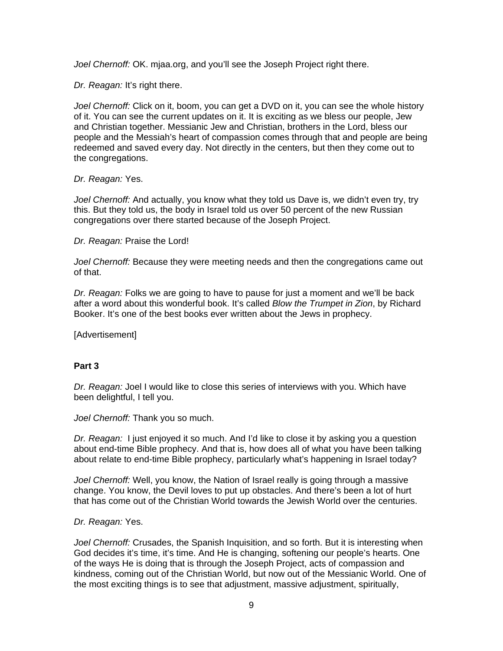*Joel Chernoff:* OK. mjaa.org, and you'll see the Joseph Project right there.

*Dr. Reagan:* It's right there.

*Joel Chernoff:* Click on it, boom, you can get a DVD on it, you can see the whole history of it. You can see the current updates on it. It is exciting as we bless our people, Jew and Christian together. Messianic Jew and Christian, brothers in the Lord, bless our people and the Messiah's heart of compassion comes through that and people are being redeemed and saved every day. Not directly in the centers, but then they come out to the congregations.

*Dr. Reagan:* Yes.

*Joel Chernoff:* And actually, you know what they told us Dave is, we didn't even try, try this. But they told us, the body in Israel told us over 50 percent of the new Russian congregations over there started because of the Joseph Project.

*Dr. Reagan:* Praise the Lord!

*Joel Chernoff:* Because they were meeting needs and then the congregations came out of that.

*Dr. Reagan:* Folks we are going to have to pause for just a moment and we'll be back after a word about this wonderful book. It's called *Blow the Trumpet in Zion*, by Richard Booker. It's one of the best books ever written about the Jews in prophecy.

[Advertisement]

## **Part 3**

*Dr. Reagan:* Joel I would like to close this series of interviews with you. Which have been delightful, I tell you.

*Joel Chernoff:* Thank you so much.

*Dr. Reagan:* I just enjoyed it so much. And I'd like to close it by asking you a question about end-time Bible prophecy. And that is, how does all of what you have been talking about relate to end-time Bible prophecy, particularly what's happening in Israel today?

*Joel Chernoff:* Well, you know, the Nation of Israel really is going through a massive change. You know, the Devil loves to put up obstacles. And there's been a lot of hurt that has come out of the Christian World towards the Jewish World over the centuries.

#### *Dr. Reagan:* Yes.

*Joel Chernoff:* Crusades, the Spanish Inquisition, and so forth. But it is interesting when God decides it's time, it's time. And He is changing, softening our people's hearts. One of the ways He is doing that is through the Joseph Project, acts of compassion and kindness, coming out of the Christian World, but now out of the Messianic World. One of the most exciting things is to see that adjustment, massive adjustment, spiritually,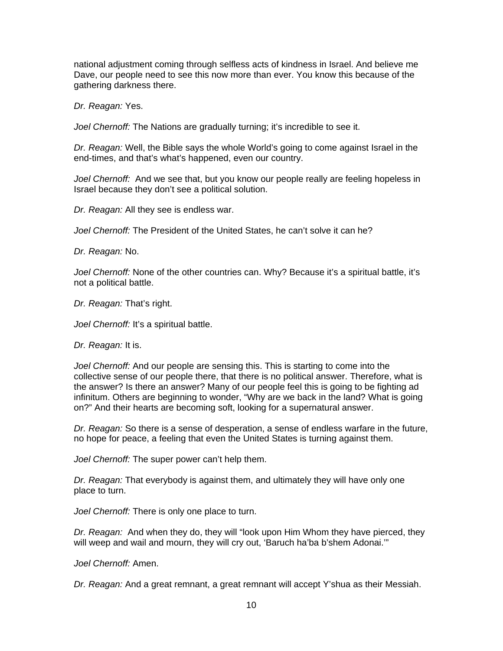national adjustment coming through selfless acts of kindness in Israel. And believe me Dave, our people need to see this now more than ever. You know this because of the gathering darkness there.

*Dr. Reagan:* Yes.

*Joel Chernoff:* The Nations are gradually turning; it's incredible to see it.

*Dr. Reagan:* Well, the Bible says the whole World's going to come against Israel in the end-times, and that's what's happened, even our country.

*Joel Chernoff:* And we see that, but you know our people really are feeling hopeless in Israel because they don't see a political solution.

*Dr. Reagan:* All they see is endless war.

*Joel Chernoff:* The President of the United States, he can't solve it can he?

*Dr. Reagan:* No.

*Joel Chernoff:* None of the other countries can. Why? Because it's a spiritual battle, it's not a political battle.

*Dr. Reagan:* That's right.

*Joel Chernoff:* It's a spiritual battle.

*Dr. Reagan:* It is.

*Joel Chernoff:* And our people are sensing this. This is starting to come into the collective sense of our people there, that there is no political answer. Therefore, what is the answer? Is there an answer? Many of our people feel this is going to be fighting ad infinitum. Others are beginning to wonder, "Why are we back in the land? What is going on?" And their hearts are becoming soft, looking for a supernatural answer.

*Dr. Reagan:* So there is a sense of desperation, a sense of endless warfare in the future, no hope for peace, a feeling that even the United States is turning against them.

*Joel Chernoff:* The super power can't help them.

*Dr. Reagan:* That everybody is against them, and ultimately they will have only one place to turn.

*Joel Chernoff:* There is only one place to turn.

*Dr. Reagan:* And when they do, they will "look upon Him Whom they have pierced, they will weep and wail and mourn, they will cry out, 'Baruch ha'ba b'shem Adonai.'"

*Joel Chernoff:* Amen.

*Dr. Reagan:* And a great remnant, a great remnant will accept Y'shua as their Messiah.